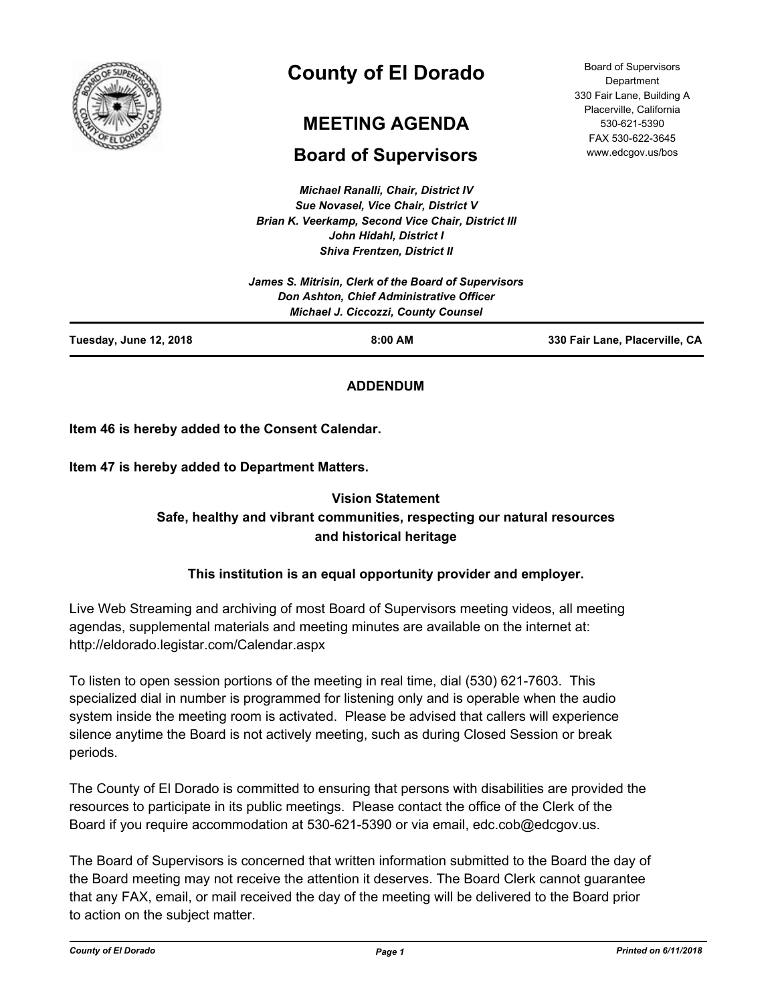

# **County of El Dorado**

# **MEETING AGENDA**

## **Board of Supervisors**

*Michael Ranalli, Chair, District IV Sue Novasel, Vice Chair, District V Brian K. Veerkamp, Second Vice Chair, District III John Hidahl, District I Shiva Frentzen, District II*

|                               | James S. Mitrisin, Clerk of the Board of Supervisors<br>Don Ashton, Chief Administrative Officer<br>Michael J. Ciccozzi, County Counsel |                                |
|-------------------------------|-----------------------------------------------------------------------------------------------------------------------------------------|--------------------------------|
| <b>Tuesday, June 12, 2018</b> | $8:00$ AM                                                                                                                               | 330 Fair Lane, Placerville, CA |

## **ADDENDUM**

**Item 46 is hereby added to the Consent Calendar.**

**Item 47 is hereby added to Department Matters.**

## **Vision Statement Safe, healthy and vibrant communities, respecting our natural resources and historical heritage**

## **This institution is an equal opportunity provider and employer.**

Live Web Streaming and archiving of most Board of Supervisors meeting videos, all meeting agendas, supplemental materials and meeting minutes are available on the internet at: http://eldorado.legistar.com/Calendar.aspx

To listen to open session portions of the meeting in real time, dial (530) 621-7603. This specialized dial in number is programmed for listening only and is operable when the audio system inside the meeting room is activated. Please be advised that callers will experience silence anytime the Board is not actively meeting, such as during Closed Session or break periods.

The County of El Dorado is committed to ensuring that persons with disabilities are provided the resources to participate in its public meetings. Please contact the office of the Clerk of the Board if you require accommodation at 530-621-5390 or via email, edc.cob@edcgov.us.

The Board of Supervisors is concerned that written information submitted to the Board the day of the Board meeting may not receive the attention it deserves. The Board Clerk cannot guarantee that any FAX, email, or mail received the day of the meeting will be delivered to the Board prior to action on the subject matter.

Board of Supervisors **Department** 330 Fair Lane, Building A Placerville, California 530-621-5390 FAX 530-622-3645 www.edcgov.us/bos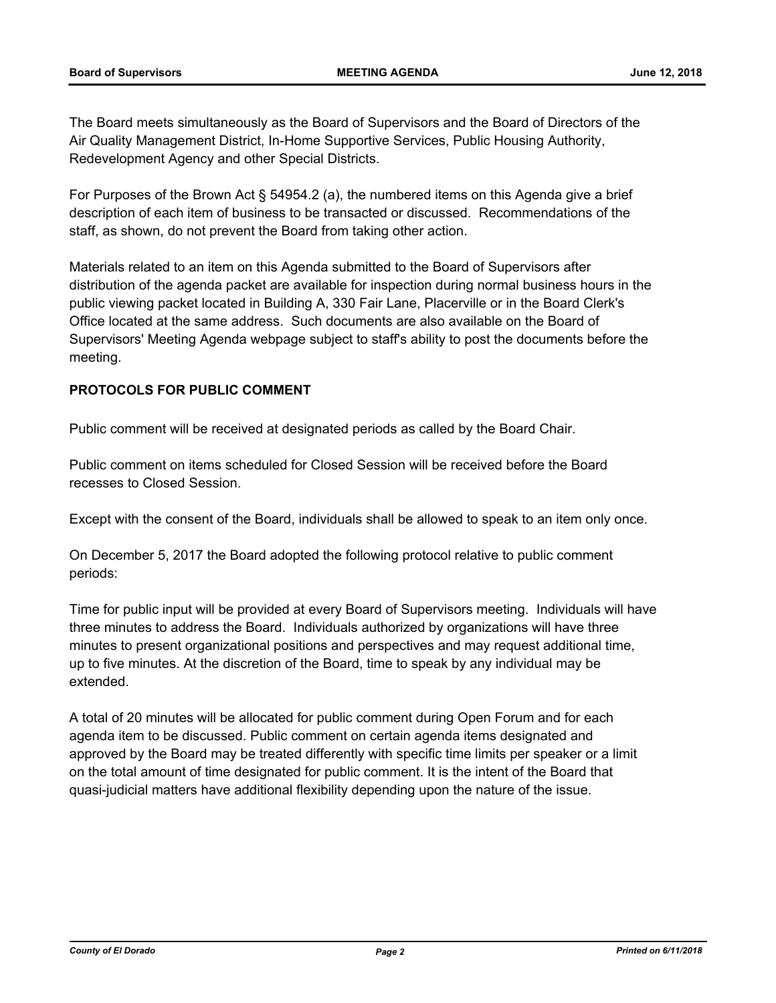The Board meets simultaneously as the Board of Supervisors and the Board of Directors of the Air Quality Management District, In-Home Supportive Services, Public Housing Authority, Redevelopment Agency and other Special Districts.

For Purposes of the Brown Act § 54954.2 (a), the numbered items on this Agenda give a brief description of each item of business to be transacted or discussed. Recommendations of the staff, as shown, do not prevent the Board from taking other action.

Materials related to an item on this Agenda submitted to the Board of Supervisors after distribution of the agenda packet are available for inspection during normal business hours in the public viewing packet located in Building A, 330 Fair Lane, Placerville or in the Board Clerk's Office located at the same address. Such documents are also available on the Board of Supervisors' Meeting Agenda webpage subject to staff's ability to post the documents before the meeting.

## **PROTOCOLS FOR PUBLIC COMMENT**

Public comment will be received at designated periods as called by the Board Chair.

Public comment on items scheduled for Closed Session will be received before the Board recesses to Closed Session.

Except with the consent of the Board, individuals shall be allowed to speak to an item only once.

On December 5, 2017 the Board adopted the following protocol relative to public comment periods:

Time for public input will be provided at every Board of Supervisors meeting. Individuals will have three minutes to address the Board. Individuals authorized by organizations will have three minutes to present organizational positions and perspectives and may request additional time, up to five minutes. At the discretion of the Board, time to speak by any individual may be extended.

A total of 20 minutes will be allocated for public comment during Open Forum and for each agenda item to be discussed. Public comment on certain agenda items designated and approved by the Board may be treated differently with specific time limits per speaker or a limit on the total amount of time designated for public comment. It is the intent of the Board that quasi-judicial matters have additional flexibility depending upon the nature of the issue.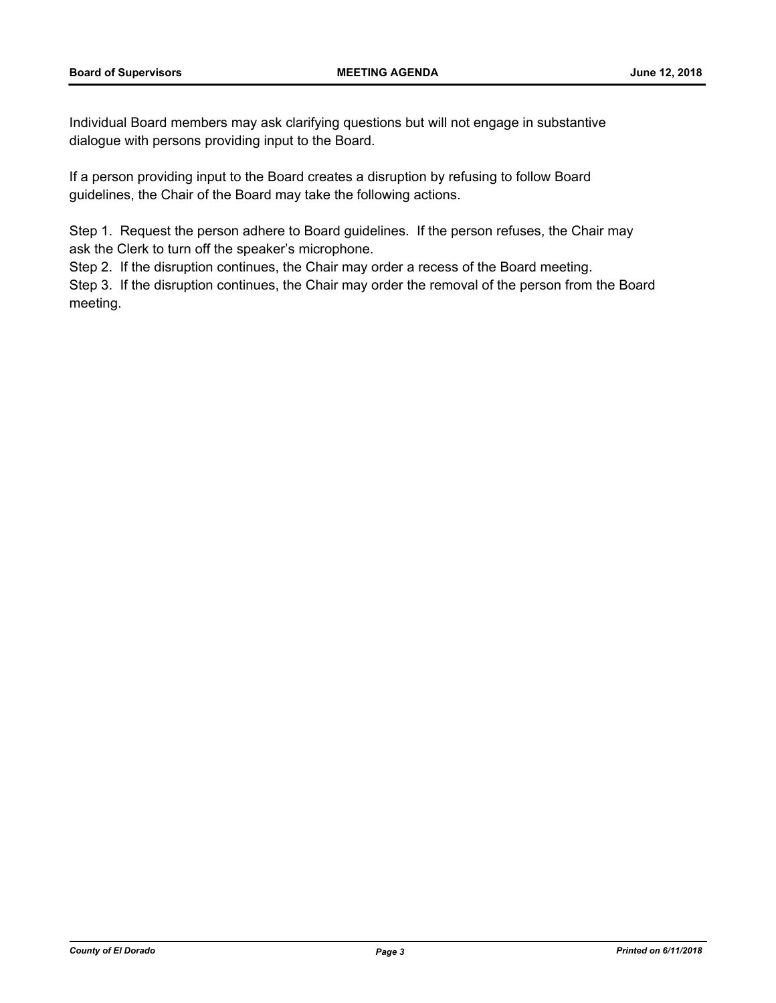Individual Board members may ask clarifying questions but will not engage in substantive dialogue with persons providing input to the Board.

If a person providing input to the Board creates a disruption by refusing to follow Board guidelines, the Chair of the Board may take the following actions.

Step 1. Request the person adhere to Board guidelines. If the person refuses, the Chair may ask the Clerk to turn off the speaker's microphone.

Step 2. If the disruption continues, the Chair may order a recess of the Board meeting.

Step 3. If the disruption continues, the Chair may order the removal of the person from the Board meeting.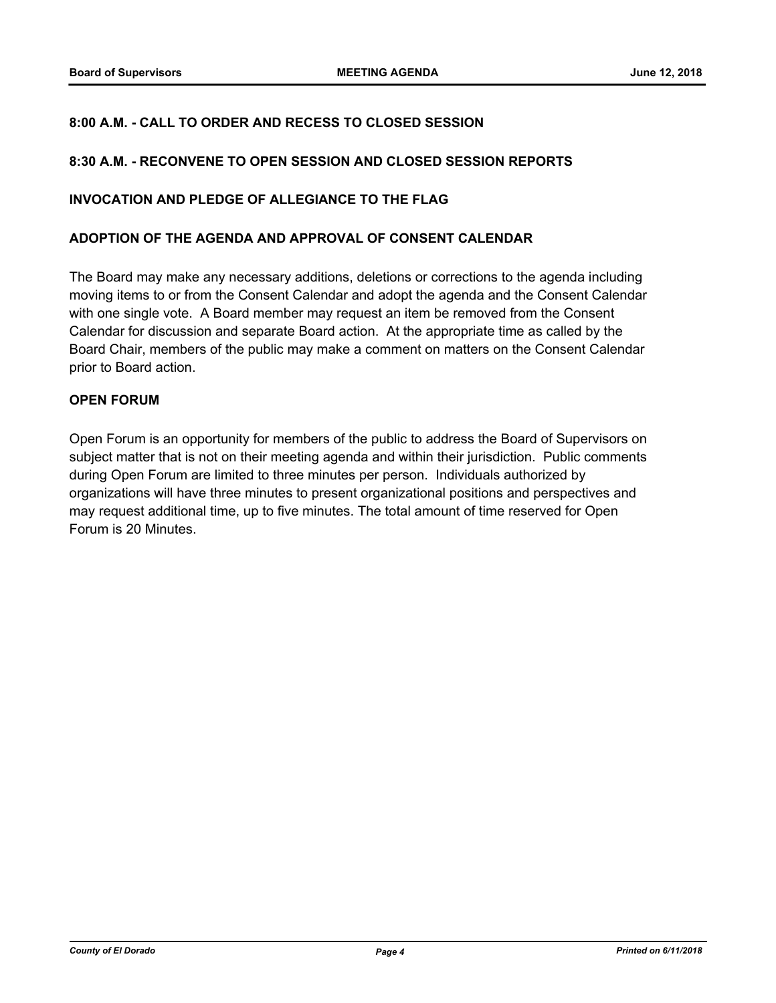## **8:00 A.M. - CALL TO ORDER AND RECESS TO CLOSED SESSION**

### **8:30 A.M. - RECONVENE TO OPEN SESSION AND CLOSED SESSION REPORTS**

#### **INVOCATION AND PLEDGE OF ALLEGIANCE TO THE FLAG**

#### **ADOPTION OF THE AGENDA AND APPROVAL OF CONSENT CALENDAR**

The Board may make any necessary additions, deletions or corrections to the agenda including moving items to or from the Consent Calendar and adopt the agenda and the Consent Calendar with one single vote. A Board member may request an item be removed from the Consent Calendar for discussion and separate Board action. At the appropriate time as called by the Board Chair, members of the public may make a comment on matters on the Consent Calendar prior to Board action.

### **OPEN FORUM**

Open Forum is an opportunity for members of the public to address the Board of Supervisors on subject matter that is not on their meeting agenda and within their jurisdiction. Public comments during Open Forum are limited to three minutes per person. Individuals authorized by organizations will have three minutes to present organizational positions and perspectives and may request additional time, up to five minutes. The total amount of time reserved for Open Forum is 20 Minutes.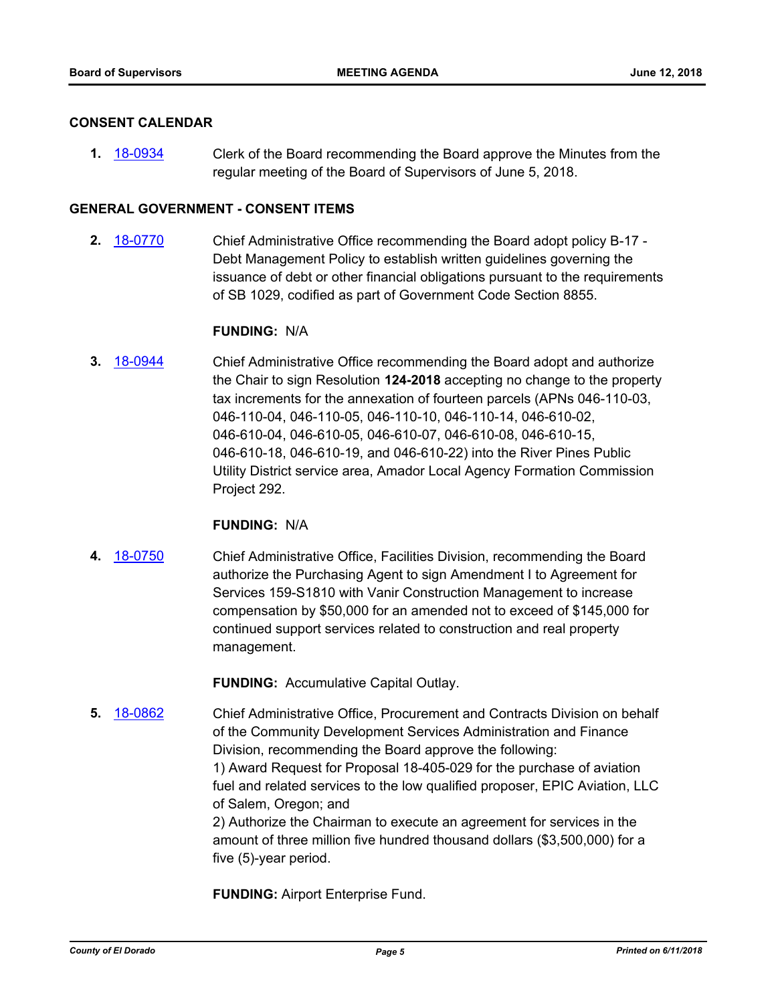#### **CONSENT CALENDAR**

**1.** [18-0934](http://eldorado.legistar.com/gateway.aspx?m=l&id=/matter.aspx?key=24282) Clerk of the Board recommending the Board approve the Minutes from the regular meeting of the Board of Supervisors of June 5, 2018.

#### **GENERAL GOVERNMENT - CONSENT ITEMS**

**2.** [18-0770](http://eldorado.legistar.com/gateway.aspx?m=l&id=/matter.aspx?key=24117) Chief Administrative Office recommending the Board adopt policy B-17 - Debt Management Policy to establish written guidelines governing the issuance of debt or other financial obligations pursuant to the requirements of SB 1029, codified as part of Government Code Section 8855.

#### **FUNDING:** N/A

**3.** [18-0944](http://eldorado.legistar.com/gateway.aspx?m=l&id=/matter.aspx?key=24292) Chief Administrative Office recommending the Board adopt and authorize the Chair to sign Resolution **124-2018** accepting no change to the property tax increments for the annexation of fourteen parcels (APNs 046-110-03, 046-110-04, 046-110-05, 046-110-10, 046-110-14, 046-610-02, 046-610-04, 046-610-05, 046-610-07, 046-610-08, 046-610-15, 046-610-18, 046-610-19, and 046-610-22) into the River Pines Public Utility District service area, Amador Local Agency Formation Commission Project 292.

#### **FUNDING:** N/A

**4.** [18-0750](http://eldorado.legistar.com/gateway.aspx?m=l&id=/matter.aspx?key=24097) Chief Administrative Office, Facilities Division, recommending the Board authorize the Purchasing Agent to sign Amendment I to Agreement for Services 159-S1810 with Vanir Construction Management to increase compensation by \$50,000 for an amended not to exceed of \$145,000 for continued support services related to construction and real property management.

**FUNDING:** Accumulative Capital Outlay.

**5.** [18-0862](http://eldorado.legistar.com/gateway.aspx?m=l&id=/matter.aspx?key=24209) Chief Administrative Office, Procurement and Contracts Division on behalf of the Community Development Services Administration and Finance Division, recommending the Board approve the following: 1) Award Request for Proposal 18-405-029 for the purchase of aviation fuel and related services to the low qualified proposer, EPIC Aviation, LLC of Salem, Oregon; and 2) Authorize the Chairman to execute an agreement for services in the amount of three million five hundred thousand dollars (\$3,500,000) for a

**FUNDING:** Airport Enterprise Fund.

five (5)-year period.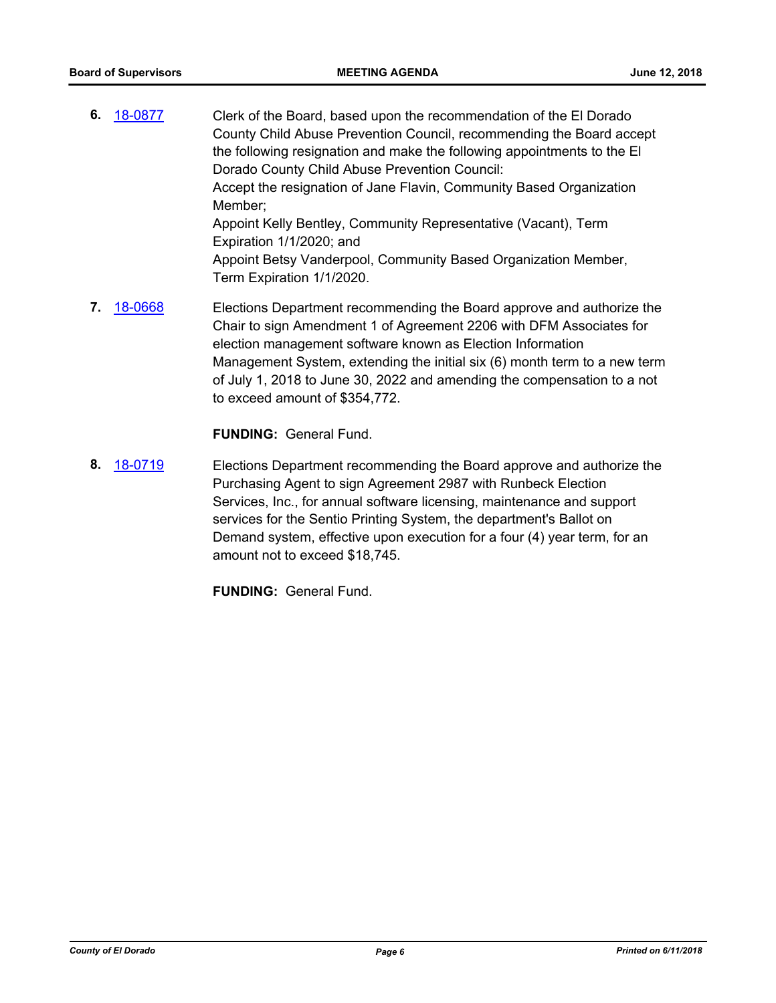- **6.** [18-0877](http://eldorado.legistar.com/gateway.aspx?m=l&id=/matter.aspx?key=24224) Clerk of the Board, based upon the recommendation of the El Dorado County Child Abuse Prevention Council, recommending the Board accept the following resignation and make the following appointments to the El Dorado County Child Abuse Prevention Council: Accept the resignation of Jane Flavin, Community Based Organization Member; Appoint Kelly Bentley, Community Representative (Vacant), Term Expiration 1/1/2020; and Appoint Betsy Vanderpool, Community Based Organization Member, Term Expiration 1/1/2020.
- **7.** [18-0668](http://eldorado.legistar.com/gateway.aspx?m=l&id=/matter.aspx?key=24013) Elections Department recommending the Board approve and authorize the Chair to sign Amendment 1 of Agreement 2206 with DFM Associates for election management software known as Election Information Management System, extending the initial six (6) month term to a new term of July 1, 2018 to June 30, 2022 and amending the compensation to a not to exceed amount of \$354,772.

**FUNDING:** General Fund.

**8.** [18-0719](http://eldorado.legistar.com/gateway.aspx?m=l&id=/matter.aspx?key=24065) Elections Department recommending the Board approve and authorize the Purchasing Agent to sign Agreement 2987 with Runbeck Election Services, Inc., for annual software licensing, maintenance and support services for the Sentio Printing System, the department's Ballot on Demand system, effective upon execution for a four (4) year term, for an amount not to exceed \$18,745.

**FUNDING:** General Fund.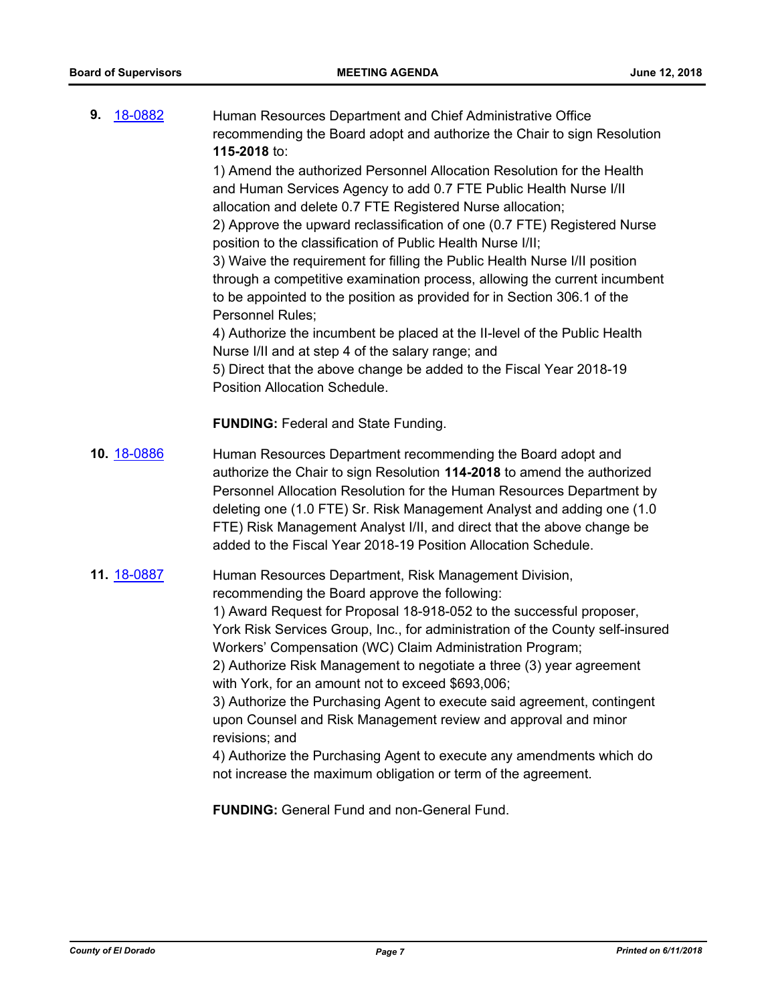| 18-0882<br>9. | Human Resources Department and Chief Administrative Office<br>recommending the Board adopt and authorize the Chair to sign Resolution<br>115-2018 to:<br>1) Amend the authorized Personnel Allocation Resolution for the Health<br>and Human Services Agency to add 0.7 FTE Public Health Nurse I/II<br>allocation and delete 0.7 FTE Registered Nurse allocation;<br>2) Approve the upward reclassification of one (0.7 FTE) Registered Nurse<br>position to the classification of Public Health Nurse I/II;<br>3) Waive the requirement for filling the Public Health Nurse I/II position<br>through a competitive examination process, allowing the current incumbent<br>to be appointed to the position as provided for in Section 306.1 of the<br>Personnel Rules;<br>4) Authorize the incumbent be placed at the II-level of the Public Health<br>Nurse I/II and at step 4 of the salary range; and<br>5) Direct that the above change be added to the Fiscal Year 2018-19<br>Position Allocation Schedule. |
|---------------|-------------------------------------------------------------------------------------------------------------------------------------------------------------------------------------------------------------------------------------------------------------------------------------------------------------------------------------------------------------------------------------------------------------------------------------------------------------------------------------------------------------------------------------------------------------------------------------------------------------------------------------------------------------------------------------------------------------------------------------------------------------------------------------------------------------------------------------------------------------------------------------------------------------------------------------------------------------------------------------------------------------------|
|               | <b>FUNDING: Federal and State Funding.</b>                                                                                                                                                                                                                                                                                                                                                                                                                                                                                                                                                                                                                                                                                                                                                                                                                                                                                                                                                                        |
| 10. 18-0886   | Human Resources Department recommending the Board adopt and<br>authorize the Chair to sign Resolution 114-2018 to amend the authorized<br>Personnel Allocation Resolution for the Human Resources Department by<br>deleting one (1.0 FTE) Sr. Risk Management Analyst and adding one (1.0<br>FTE) Risk Management Analyst I/II, and direct that the above change be<br>added to the Fiscal Year 2018-19 Position Allocation Schedule.                                                                                                                                                                                                                                                                                                                                                                                                                                                                                                                                                                             |
| 11. 18-0887   | Human Resources Department, Risk Management Division,<br>recommending the Board approve the following:<br>1) Award Request for Proposal 18-918-052 to the successful proposer,<br>York Risk Services Group, Inc., for administration of the County self-insured<br>Workers' Compensation (WC) Claim Administration Program;<br>2) Authorize Risk Management to negotiate a three (3) year agreement<br>with York, for an amount not to exceed \$693,006;<br>3) Authorize the Purchasing Agent to execute said agreement, contingent<br>upon Counsel and Risk Management review and approval and minor<br>revisions; and<br>4) Authorize the Purchasing Agent to execute any amendments which do<br>not increase the maximum obligation or term of the agreement.                                                                                                                                                                                                                                                  |

**FUNDING:** General Fund and non-General Fund.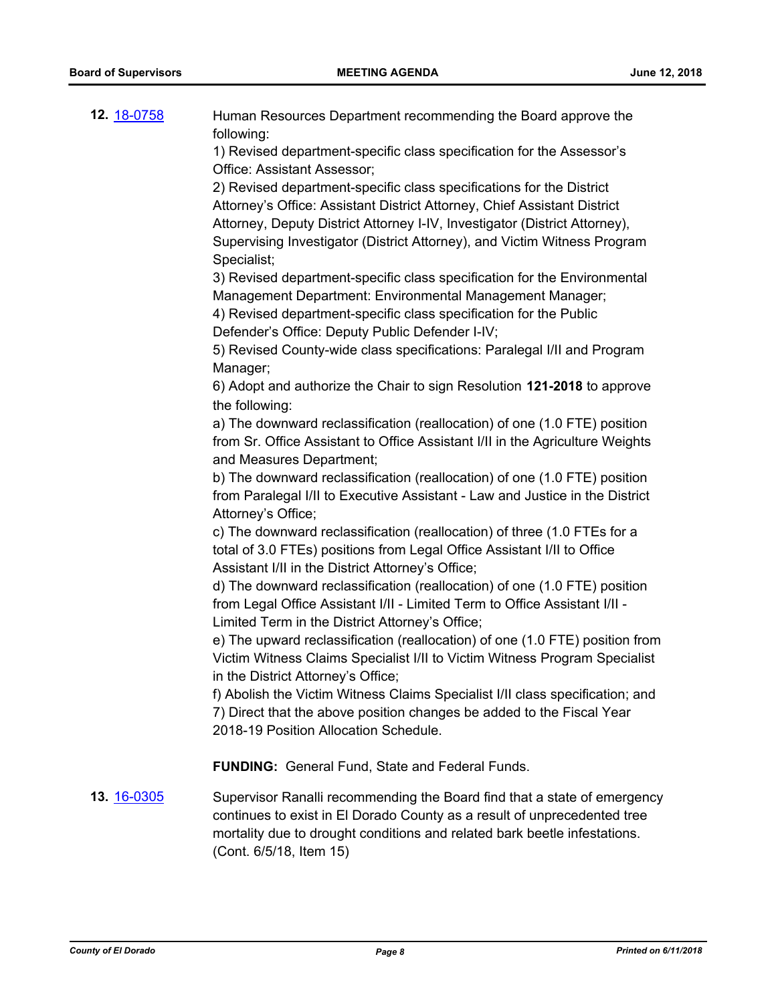| 12. 18-0758        | Human Resources Department recommending the Board approve the<br>following:                                                                                                                                                                                                                                               |
|--------------------|---------------------------------------------------------------------------------------------------------------------------------------------------------------------------------------------------------------------------------------------------------------------------------------------------------------------------|
|                    | 1) Revised department-specific class specification for the Assessor's<br>Office: Assistant Assessor;                                                                                                                                                                                                                      |
|                    | 2) Revised department-specific class specifications for the District<br>Attorney's Office: Assistant District Attorney, Chief Assistant District<br>Attorney, Deputy District Attorney I-IV, Investigator (District Attorney),<br>Supervising Investigator (District Attorney), and Victim Witness Program<br>Specialist; |
|                    | 3) Revised department-specific class specification for the Environmental<br>Management Department: Environmental Management Manager;<br>4) Revised department-specific class specification for the Public<br>Defender's Office: Deputy Public Defender I-IV;                                                              |
|                    | 5) Revised County-wide class specifications: Paralegal I/II and Program<br>Manager;                                                                                                                                                                                                                                       |
|                    | 6) Adopt and authorize the Chair to sign Resolution 121-2018 to approve<br>the following:                                                                                                                                                                                                                                 |
|                    | a) The downward reclassification (reallocation) of one (1.0 FTE) position<br>from Sr. Office Assistant to Office Assistant I/II in the Agriculture Weights<br>and Measures Department;                                                                                                                                    |
|                    | b) The downward reclassification (reallocation) of one (1.0 FTE) position<br>from Paralegal I/II to Executive Assistant - Law and Justice in the District<br>Attorney's Office;                                                                                                                                           |
|                    | c) The downward reclassification (reallocation) of three (1.0 FTEs for a<br>total of 3.0 FTEs) positions from Legal Office Assistant I/II to Office<br>Assistant I/II in the District Attorney's Office;                                                                                                                  |
|                    | d) The downward reclassification (reallocation) of one (1.0 FTE) position<br>from Legal Office Assistant I/II - Limited Term to Office Assistant I/II -<br>Limited Term in the District Attorney's Office;                                                                                                                |
|                    | e) The upward reclassification (reallocation) of one (1.0 FTE) position from<br>Victim Witness Claims Specialist I/II to Victim Witness Program Specialist<br>in the District Attorney's Office;                                                                                                                          |
|                    | f) Abolish the Victim Witness Claims Specialist I/II class specification; and<br>7) Direct that the above position changes be added to the Fiscal Year<br>2018-19 Position Allocation Schedule.                                                                                                                           |
|                    | <b>FUNDING:</b> General Fund, State and Federal Funds.                                                                                                                                                                                                                                                                    |
| <b>13. 16-0305</b> | Supervisor Ranalli recommending the Board find that a state of emergency<br>continues to exist in El Dorado County as a result of unprecedented tree<br>mortality due to drought conditions and related bark beetle infestations.<br>(Cont. 6/5/18, Item 15)                                                              |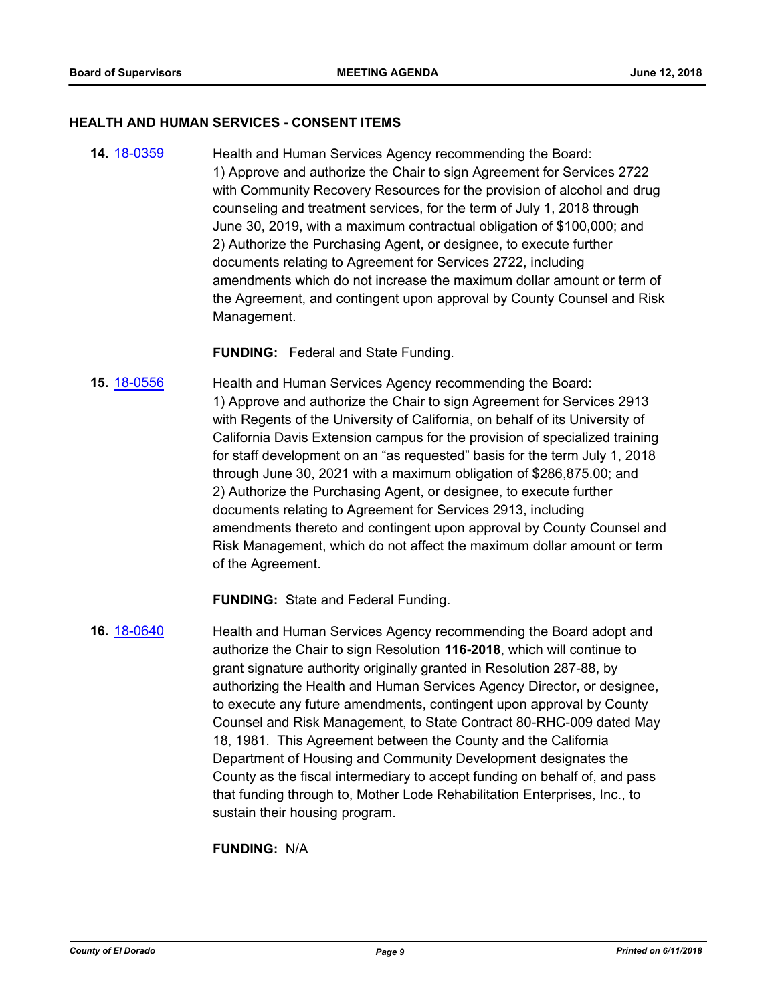#### **HEALTH AND HUMAN SERVICES - CONSENT ITEMS**

**14.** [18-0359](http://eldorado.legistar.com/gateway.aspx?m=l&id=/matter.aspx?key=23702) Health and Human Services Agency recommending the Board: 1) Approve and authorize the Chair to sign Agreement for Services 2722 with Community Recovery Resources for the provision of alcohol and drug counseling and treatment services, for the term of July 1, 2018 through June 30, 2019, with a maximum contractual obligation of \$100,000; and 2) Authorize the Purchasing Agent, or designee, to execute further documents relating to Agreement for Services 2722, including amendments which do not increase the maximum dollar amount or term of the Agreement, and contingent upon approval by County Counsel and Risk Management.

#### **FUNDING:** Federal and State Funding.

**15.** [18-0556](http://eldorado.legistar.com/gateway.aspx?m=l&id=/matter.aspx?key=23901) Health and Human Services Agency recommending the Board: 1) Approve and authorize the Chair to sign Agreement for Services 2913 with Regents of the University of California, on behalf of its University of California Davis Extension campus for the provision of specialized training for staff development on an "as requested" basis for the term July 1, 2018 through June 30, 2021 with a maximum obligation of \$286,875.00; and 2) Authorize the Purchasing Agent, or designee, to execute further documents relating to Agreement for Services 2913, including amendments thereto and contingent upon approval by County Counsel and Risk Management, which do not affect the maximum dollar amount or term of the Agreement.

**FUNDING:** State and Federal Funding.

**16.** [18-0640](http://eldorado.legistar.com/gateway.aspx?m=l&id=/matter.aspx?key=23985) Health and Human Services Agency recommending the Board adopt and authorize the Chair to sign Resolution **116-2018**, which will continue to grant signature authority originally granted in Resolution 287-88, by authorizing the Health and Human Services Agency Director, or designee, to execute any future amendments, contingent upon approval by County Counsel and Risk Management, to State Contract 80-RHC-009 dated May 18, 1981. This Agreement between the County and the California Department of Housing and Community Development designates the County as the fiscal intermediary to accept funding on behalf of, and pass that funding through to, Mother Lode Rehabilitation Enterprises, Inc., to sustain their housing program.

**FUNDING:** N/A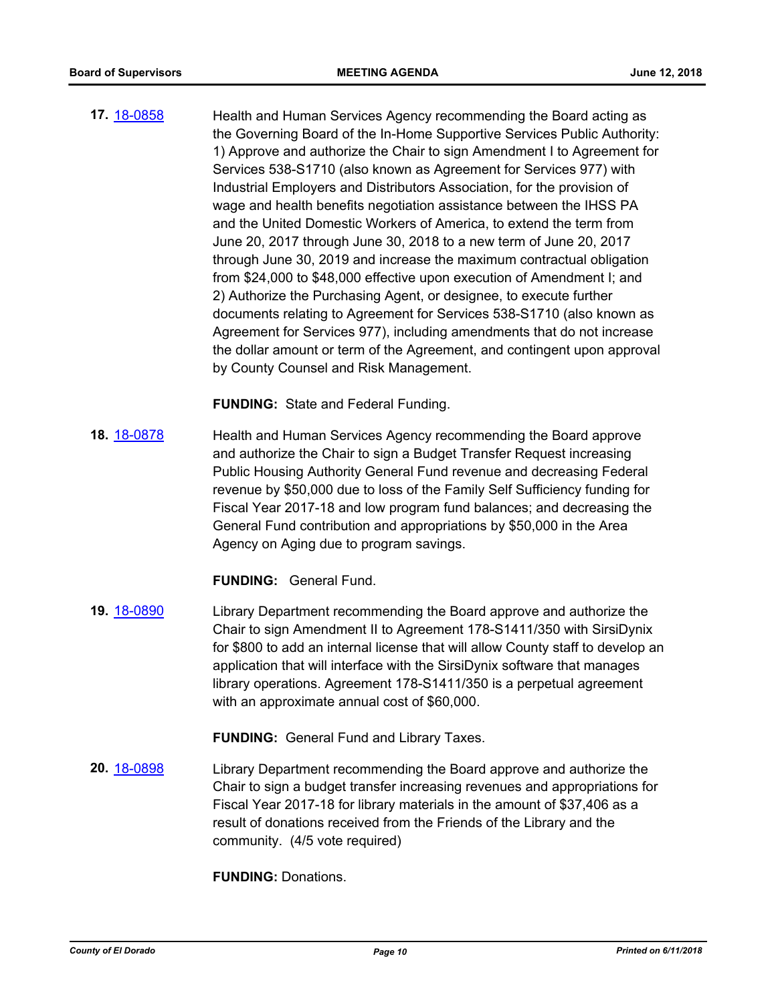**17.** [18-0858](http://eldorado.legistar.com/gateway.aspx?m=l&id=/matter.aspx?key=24205) Health and Human Services Agency recommending the Board acting as the Governing Board of the In-Home Supportive Services Public Authority: 1) Approve and authorize the Chair to sign Amendment I to Agreement for Services 538-S1710 (also known as Agreement for Services 977) with Industrial Employers and Distributors Association, for the provision of wage and health benefits negotiation assistance between the IHSS PA and the United Domestic Workers of America, to extend the term from June 20, 2017 through June 30, 2018 to a new term of June 20, 2017 through June 30, 2019 and increase the maximum contractual obligation from \$24,000 to \$48,000 effective upon execution of Amendment I; and 2) Authorize the Purchasing Agent, or designee, to execute further documents relating to Agreement for Services 538-S1710 (also known as Agreement for Services 977), including amendments that do not increase the dollar amount or term of the Agreement, and contingent upon approval by County Counsel and Risk Management.

**FUNDING:** State and Federal Funding.

**18.** [18-0878](http://eldorado.legistar.com/gateway.aspx?m=l&id=/matter.aspx?key=24225) Health and Human Services Agency recommending the Board approve and authorize the Chair to sign a Budget Transfer Request increasing Public Housing Authority General Fund revenue and decreasing Federal revenue by \$50,000 due to loss of the Family Self Sufficiency funding for Fiscal Year 2017-18 and low program fund balances; and decreasing the General Fund contribution and appropriations by \$50,000 in the Area Agency on Aging due to program savings.

**FUNDING:** General Fund.

**19.** [18-0890](http://eldorado.legistar.com/gateway.aspx?m=l&id=/matter.aspx?key=24237) Library Department recommending the Board approve and authorize the Chair to sign Amendment II to Agreement 178-S1411/350 with SirsiDynix for \$800 to add an internal license that will allow County staff to develop an application that will interface with the SirsiDynix software that manages library operations. Agreement 178-S1411/350 is a perpetual agreement with an approximate annual cost of \$60,000.

**FUNDING:** General Fund and Library Taxes.

**20.** [18-0898](http://eldorado.legistar.com/gateway.aspx?m=l&id=/matter.aspx?key=24246) Library Department recommending the Board approve and authorize the Chair to sign a budget transfer increasing revenues and appropriations for Fiscal Year 2017-18 for library materials in the amount of \$37,406 as a result of donations received from the Friends of the Library and the community. (4/5 vote required)

**FUNDING:** Donations.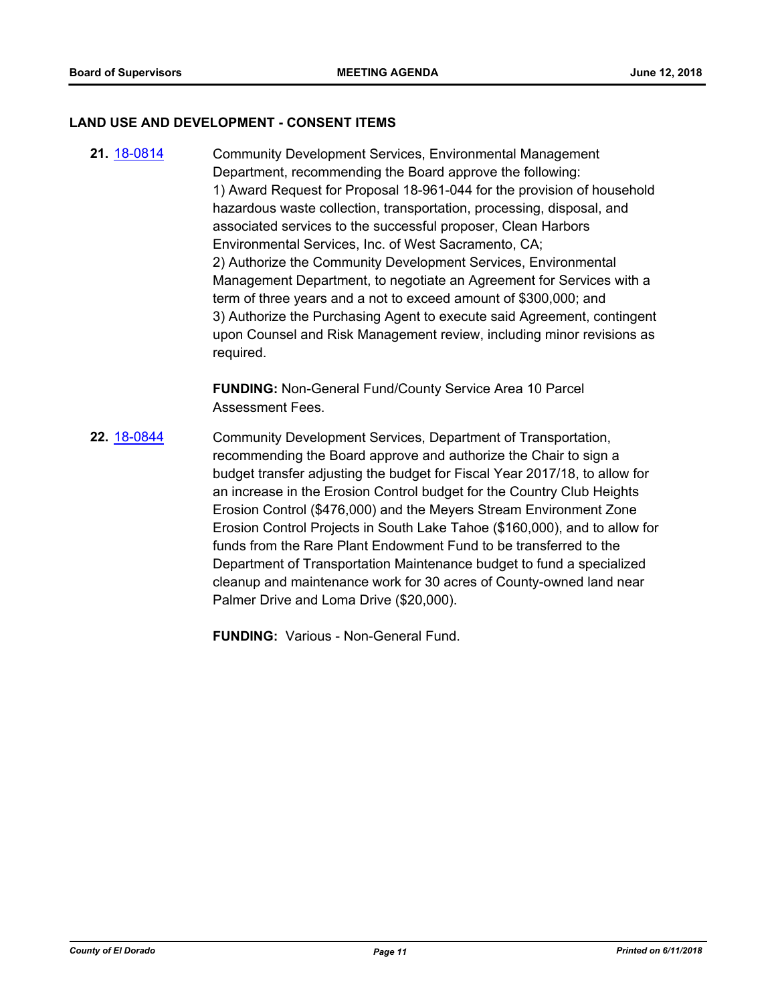#### **LAND USE AND DEVELOPMENT - CONSENT ITEMS**

**21.** [18-0814](http://eldorado.legistar.com/gateway.aspx?m=l&id=/matter.aspx?key=24161) Community Development Services, Environmental Management Department, recommending the Board approve the following: 1) Award Request for Proposal 18-961-044 for the provision of household hazardous waste collection, transportation, processing, disposal, and associated services to the successful proposer, Clean Harbors Environmental Services, Inc. of West Sacramento, CA; 2) Authorize the Community Development Services, Environmental Management Department, to negotiate an Agreement for Services with a term of three years and a not to exceed amount of \$300,000; and 3) Authorize the Purchasing Agent to execute said Agreement, contingent upon Counsel and Risk Management review, including minor revisions as required.

> **FUNDING:** Non-General Fund/County Service Area 10 Parcel Assessment Fees.

**22.** [18-0844](http://eldorado.legistar.com/gateway.aspx?m=l&id=/matter.aspx?key=24191) Community Development Services, Department of Transportation, recommending the Board approve and authorize the Chair to sign a budget transfer adjusting the budget for Fiscal Year 2017/18, to allow for an increase in the Erosion Control budget for the Country Club Heights Erosion Control (\$476,000) and the Meyers Stream Environment Zone Erosion Control Projects in South Lake Tahoe (\$160,000), and to allow for funds from the Rare Plant Endowment Fund to be transferred to the Department of Transportation Maintenance budget to fund a specialized cleanup and maintenance work for 30 acres of County-owned land near Palmer Drive and Loma Drive (\$20,000).

**FUNDING:** Various - Non-General Fund.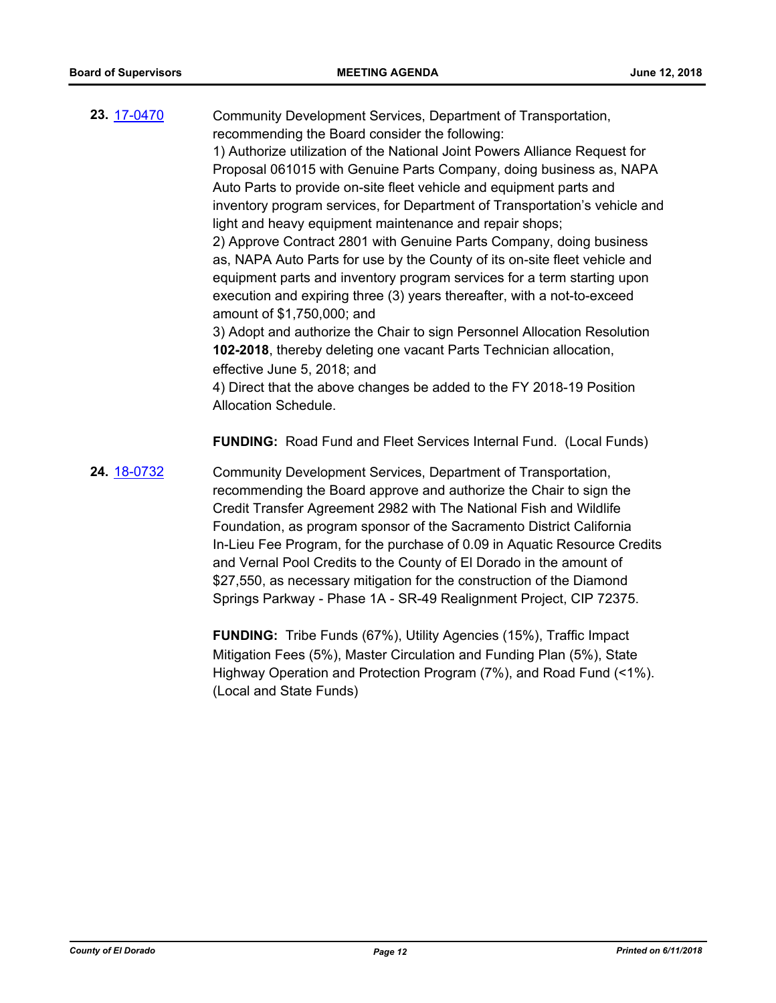**23.** [17-0470](http://eldorado.legistar.com/gateway.aspx?m=l&id=/matter.aspx?key=22409) Community Development Services, Department of Transportation, recommending the Board consider the following: 1) Authorize utilization of the National Joint Powers Alliance Request for

Proposal 061015 with Genuine Parts Company, doing business as, NAPA Auto Parts to provide on-site fleet vehicle and equipment parts and inventory program services, for Department of Transportation's vehicle and light and heavy equipment maintenance and repair shops;

2) Approve Contract 2801 with Genuine Parts Company, doing business as, NAPA Auto Parts for use by the County of its on-site fleet vehicle and equipment parts and inventory program services for a term starting upon execution and expiring three (3) years thereafter, with a not-to-exceed amount of \$1,750,000; and

3) Adopt and authorize the Chair to sign Personnel Allocation Resolution **102-2018**, thereby deleting one vacant Parts Technician allocation, effective June 5, 2018; and

4) Direct that the above changes be added to the FY 2018-19 Position Allocation Schedule.

**FUNDING:** Road Fund and Fleet Services Internal Fund. (Local Funds)

**24.** [18-0732](http://eldorado.legistar.com/gateway.aspx?m=l&id=/matter.aspx?key=24079) Community Development Services, Department of Transportation, recommending the Board approve and authorize the Chair to sign the Credit Transfer Agreement 2982 with The National Fish and Wildlife Foundation, as program sponsor of the Sacramento District California In-Lieu Fee Program, for the purchase of 0.09 in Aquatic Resource Credits and Vernal Pool Credits to the County of El Dorado in the amount of \$27,550, as necessary mitigation for the construction of the Diamond Springs Parkway - Phase 1A - SR-49 Realignment Project, CIP 72375.

> **FUNDING:** Tribe Funds (67%), Utility Agencies (15%), Traffic Impact Mitigation Fees (5%), Master Circulation and Funding Plan (5%), State Highway Operation and Protection Program (7%), and Road Fund (<1%). (Local and State Funds)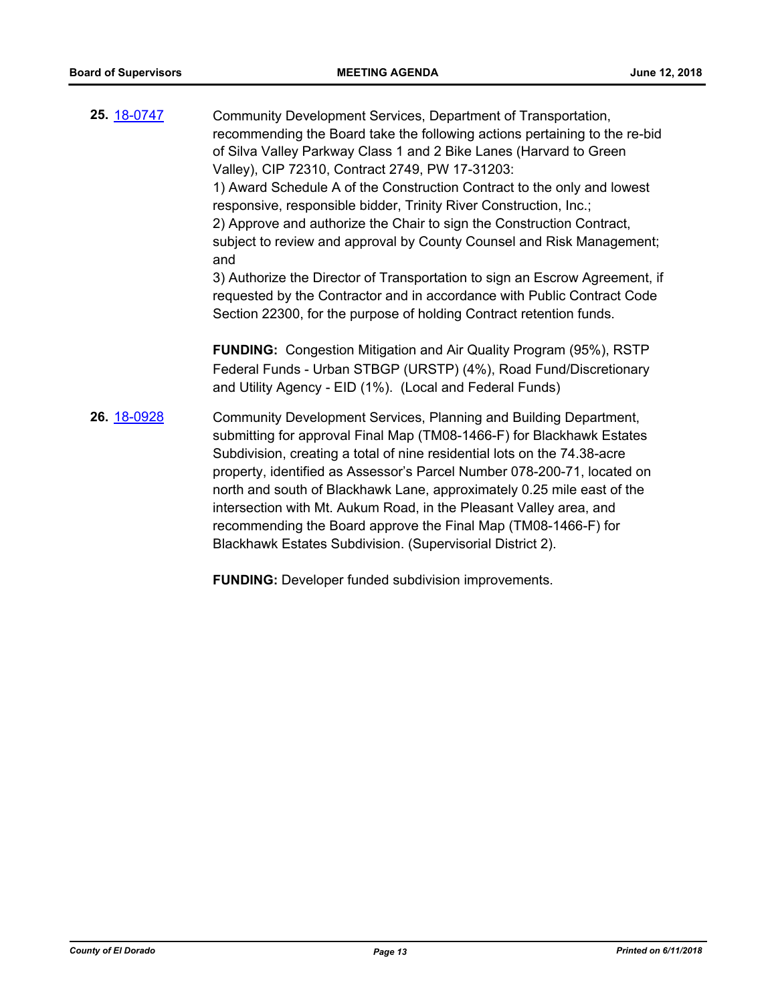| <b>25.</b> 18-0747 | Community Development Services, Department of Transportation,<br>recommending the Board take the following actions pertaining to the re-bid<br>of Silva Valley Parkway Class 1 and 2 Bike Lanes (Harvard to Green<br>Valley), CIP 72310, Contract 2749, PW 17-31203:<br>1) Award Schedule A of the Construction Contract to the only and lowest<br>responsive, responsible bidder, Trinity River Construction, Inc.;<br>2) Approve and authorize the Chair to sign the Construction Contract,<br>subject to review and approval by County Counsel and Risk Management;<br>and<br>3) Authorize the Director of Transportation to sign an Escrow Agreement, if |
|--------------------|--------------------------------------------------------------------------------------------------------------------------------------------------------------------------------------------------------------------------------------------------------------------------------------------------------------------------------------------------------------------------------------------------------------------------------------------------------------------------------------------------------------------------------------------------------------------------------------------------------------------------------------------------------------|
|                    | requested by the Contractor and in accordance with Public Contract Code<br>Section 22300, for the purpose of holding Contract retention funds.<br><b>FUNDING:</b> Congestion Mitigation and Air Quality Program (95%), RSTP<br>Federal Funds - Urban STBGP (URSTP) (4%), Road Fund/Discretionary<br>and Utility Agency - EID (1%). (Local and Federal Funds)                                                                                                                                                                                                                                                                                                 |
| 26. 18-0928        | Community Development Services, Planning and Building Department,<br>submitting for approval Final Map (TM08-1466-F) for Blackhawk Estates<br>Subdivision, creating a total of nine residential lots on the 74.38-acre<br>property, identified as Assessor's Parcel Number 078-200-71, located on<br>north and south of Blackhawk Lane, approximately 0.25 mile east of the<br>intersection with Mt. Aukum Road, in the Pleasant Valley area, and<br>recommending the Board approve the Final Map (TM08-1466-F) for<br>Blackhawk Estates Subdivision. (Supervisorial District 2).                                                                            |

**FUNDING:** Developer funded subdivision improvements.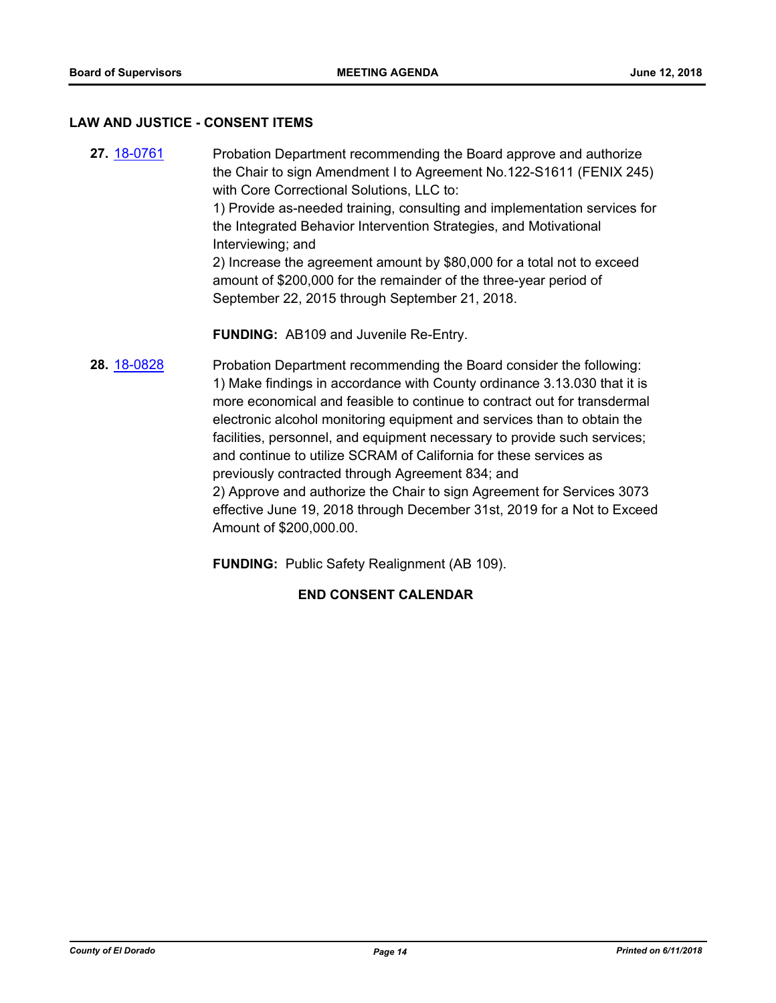#### **LAW AND JUSTICE - CONSENT ITEMS**

**27.** [18-0761](http://eldorado.legistar.com/gateway.aspx?m=l&id=/matter.aspx?key=24108) Probation Department recommending the Board approve and authorize the Chair to sign Amendment I to Agreement No.122-S1611 (FENIX 245) with Core Correctional Solutions, LLC to: 1) Provide as-needed training, consulting and implementation services for the Integrated Behavior Intervention Strategies, and Motivational Interviewing; and 2) Increase the agreement amount by \$80,000 for a total not to exceed amount of \$200,000 for the remainder of the three-year period of September 22, 2015 through September 21, 2018. **FUNDING:** AB109 and Juvenile Re-Entry. **28.** [18-0828](http://eldorado.legistar.com/gateway.aspx?m=l&id=/matter.aspx?key=24175) Probation Department recommending the Board consider the following: 1) Make findings in accordance with County ordinance 3.13.030 that it is more economical and feasible to continue to contract out for transdermal electronic alcohol monitoring equipment and services than to obtain the facilities, personnel, and equipment necessary to provide such services;

> previously contracted through Agreement 834; and 2) Approve and authorize the Chair to sign Agreement for Services 3073 effective June 19, 2018 through December 31st, 2019 for a Not to Exceed Amount of \$200,000.00.

and continue to utilize SCRAM of California for these services as

**FUNDING:** Public Safety Realignment (AB 109).

## **END CONSENT CALENDAR**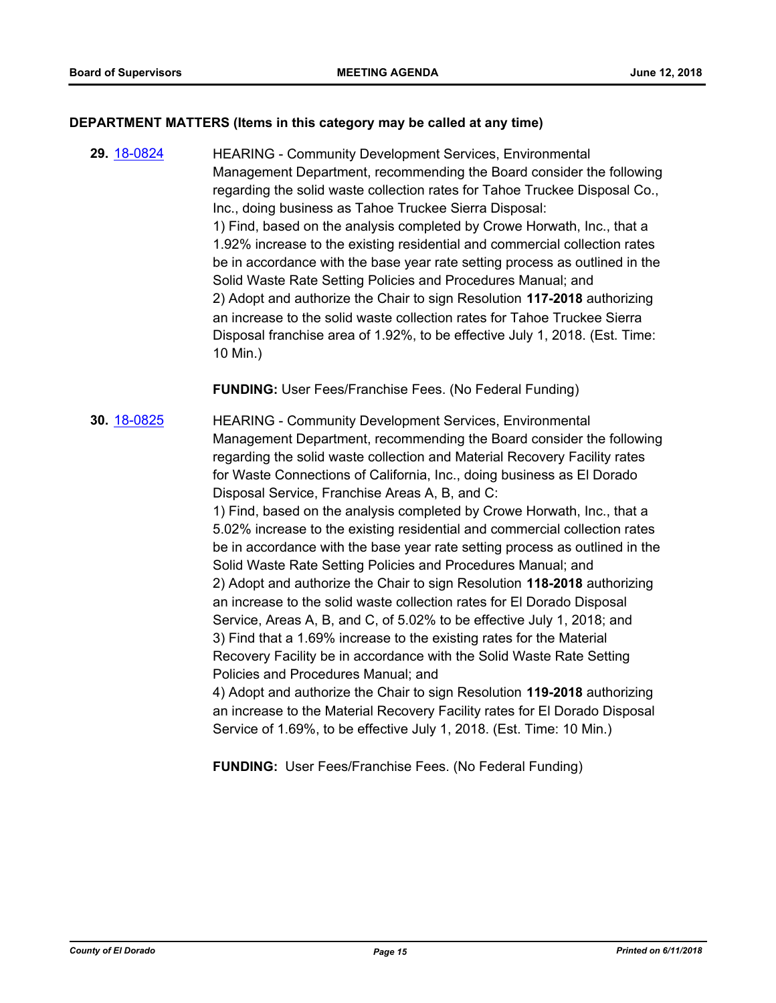#### **DEPARTMENT MATTERS (Items in this category may be called at any time)**

**29.** [18-0824](http://eldorado.legistar.com/gateway.aspx?m=l&id=/matter.aspx?key=24171) HEARING - Community Development Services, Environmental Management Department, recommending the Board consider the following regarding the solid waste collection rates for Tahoe Truckee Disposal Co., Inc., doing business as Tahoe Truckee Sierra Disposal: 1) Find, based on the analysis completed by Crowe Horwath, Inc., that a 1.92% increase to the existing residential and commercial collection rates be in accordance with the base year rate setting process as outlined in the Solid Waste Rate Setting Policies and Procedures Manual; and 2) Adopt and authorize the Chair to sign Resolution **117-2018** authorizing an increase to the solid waste collection rates for Tahoe Truckee Sierra Disposal franchise area of 1.92%, to be effective July 1, 2018. (Est. Time: 10 Min.)

**FUNDING:** User Fees/Franchise Fees. (No Federal Funding)

**30.** [18-0825](http://eldorado.legistar.com/gateway.aspx?m=l&id=/matter.aspx?key=24172) HEARING - Community Development Services, Environmental Management Department, recommending the Board consider the following regarding the solid waste collection and Material Recovery Facility rates for Waste Connections of California, Inc., doing business as El Dorado Disposal Service, Franchise Areas A, B, and C: 1) Find, based on the analysis completed by Crowe Horwath, Inc., that a 5.02% increase to the existing residential and commercial collection rates be in accordance with the base year rate setting process as outlined in the Solid Waste Rate Setting Policies and Procedures Manual; and 2) Adopt and authorize the Chair to sign Resolution **118-2018** authorizing an increase to the solid waste collection rates for El Dorado Disposal Service, Areas A, B, and C, of 5.02% to be effective July 1, 2018; and 3) Find that a 1.69% increase to the existing rates for the Material Recovery Facility be in accordance with the Solid Waste Rate Setting Policies and Procedures Manual; and 4) Adopt and authorize the Chair to sign Resolution **119-2018** authorizing an increase to the Material Recovery Facility rates for El Dorado Disposal Service of 1.69%, to be effective July 1, 2018. (Est. Time: 10 Min.)

**FUNDING:** User Fees/Franchise Fees. (No Federal Funding)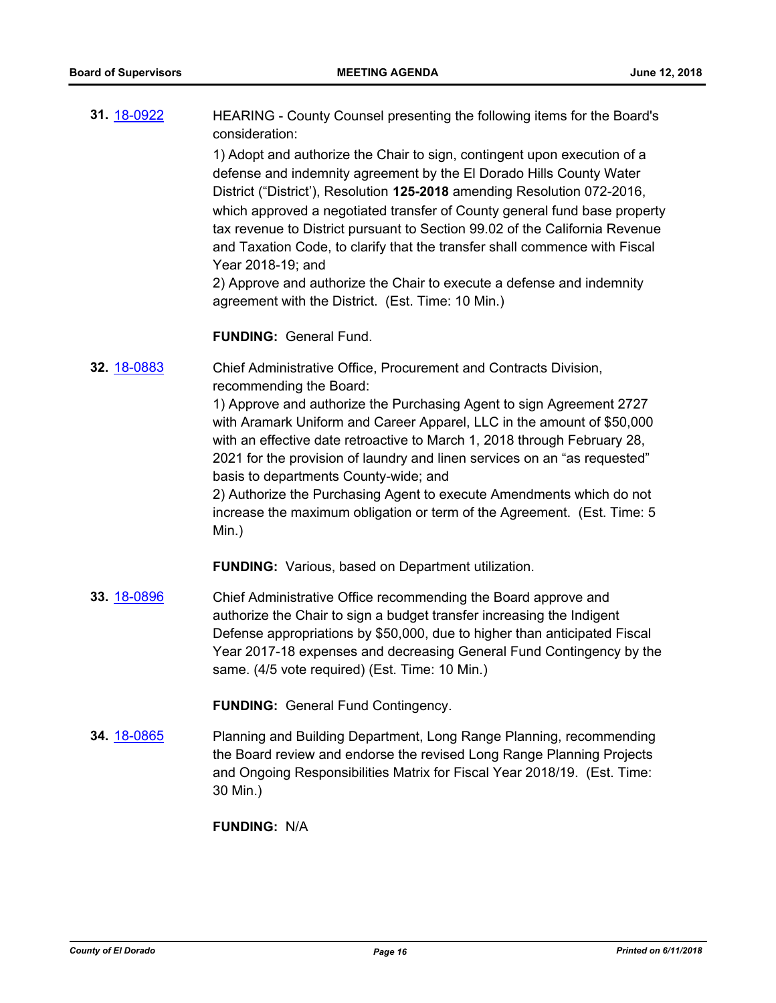| 31. 18-0922 | HEARING - County Counsel presenting the following items for the Board's<br>consideration:                                                                                                                                                                                                                                                                                                                                                                                                                                                                                                                                |
|-------------|--------------------------------------------------------------------------------------------------------------------------------------------------------------------------------------------------------------------------------------------------------------------------------------------------------------------------------------------------------------------------------------------------------------------------------------------------------------------------------------------------------------------------------------------------------------------------------------------------------------------------|
|             | 1) Adopt and authorize the Chair to sign, contingent upon execution of a<br>defense and indemnity agreement by the El Dorado Hills County Water<br>District ("District"), Resolution 125-2018 amending Resolution 072-2016,<br>which approved a negotiated transfer of County general fund base property<br>tax revenue to District pursuant to Section 99.02 of the California Revenue<br>and Taxation Code, to clarify that the transfer shall commence with Fiscal<br>Year 2018-19; and<br>2) Approve and authorize the Chair to execute a defense and indemnity<br>agreement with the District. (Est. Time: 10 Min.) |
|             |                                                                                                                                                                                                                                                                                                                                                                                                                                                                                                                                                                                                                          |

#### **FUNDING:** General Fund.

**32.** [18-0883](http://eldorado.legistar.com/gateway.aspx?m=l&id=/matter.aspx?key=24230) Chief Administrative Office, Procurement and Contracts Division, recommending the Board:

> 1) Approve and authorize the Purchasing Agent to sign Agreement 2727 with Aramark Uniform and Career Apparel, LLC in the amount of \$50,000 with an effective date retroactive to March 1, 2018 through February 28, 2021 for the provision of laundry and linen services on an "as requested" basis to departments County-wide; and

> 2) Authorize the Purchasing Agent to execute Amendments which do not increase the maximum obligation or term of the Agreement. (Est. Time: 5 Min.)

**FUNDING:** Various, based on Department utilization.

**33.** [18-0896](http://eldorado.legistar.com/gateway.aspx?m=l&id=/matter.aspx?key=24243) Chief Administrative Office recommending the Board approve and authorize the Chair to sign a budget transfer increasing the Indigent Defense appropriations by \$50,000, due to higher than anticipated Fiscal Year 2017-18 expenses and decreasing General Fund Contingency by the same. (4/5 vote required) (Est. Time: 10 Min.)

**FUNDING:** General Fund Contingency.

**34.** [18-0865](http://eldorado.legistar.com/gateway.aspx?m=l&id=/matter.aspx?key=24212) Planning and Building Department, Long Range Planning, recommending the Board review and endorse the revised Long Range Planning Projects and Ongoing Responsibilities Matrix for Fiscal Year 2018/19. (Est. Time: 30 Min.)

#### **FUNDING:** N/A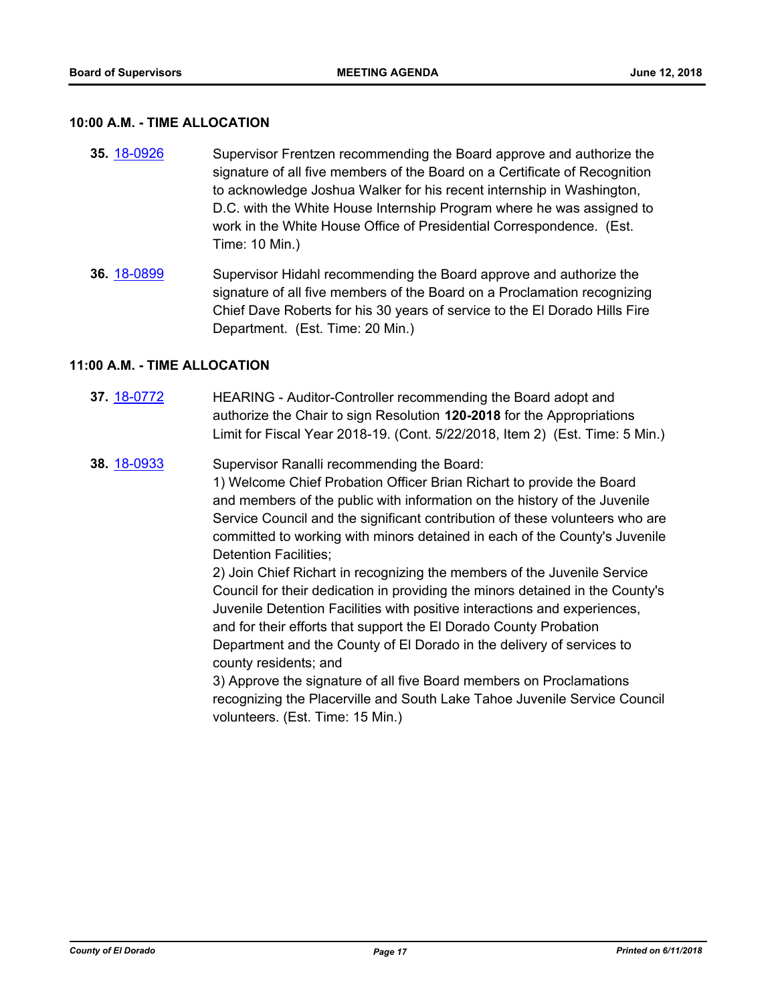#### **10:00 A.M. - TIME ALLOCATION**

- **35.** [18-0926](http://eldorado.legistar.com/gateway.aspx?m=l&id=/matter.aspx?key=24274) Supervisor Frentzen recommending the Board approve and authorize the signature of all five members of the Board on a Certificate of Recognition to acknowledge Joshua Walker for his recent internship in Washington, D.C. with the White House Internship Program where he was assigned to work in the White House Office of Presidential Correspondence. (Est. Time: 10 Min.)
- **36.** [18-0899](http://eldorado.legistar.com/gateway.aspx?m=l&id=/matter.aspx?key=24247) Supervisor Hidahl recommending the Board approve and authorize the signature of all five members of the Board on a Proclamation recognizing Chief Dave Roberts for his 30 years of service to the El Dorado Hills Fire Department. (Est. Time: 20 Min.)

#### **11:00 A.M. - TIME ALLOCATION**

- **37.** [18-0772](http://eldorado.legistar.com/gateway.aspx?m=l&id=/matter.aspx?key=24119) HEARING Auditor-Controller recommending the Board adopt and authorize the Chair to sign Resolution **120-2018** for the Appropriations Limit for Fiscal Year 2018-19. (Cont. 5/22/2018, Item 2) (Est. Time: 5 Min.)
- **38.** [18-0933](http://eldorado.legistar.com/gateway.aspx?m=l&id=/matter.aspx?key=24281) Supervisor Ranalli recommending the Board:

1) Welcome Chief Probation Officer Brian Richart to provide the Board and members of the public with information on the history of the Juvenile Service Council and the significant contribution of these volunteers who are committed to working with minors detained in each of the County's Juvenile Detention Facilities;

2) Join Chief Richart in recognizing the members of the Juvenile Service Council for their dedication in providing the minors detained in the County's Juvenile Detention Facilities with positive interactions and experiences, and for their efforts that support the El Dorado County Probation Department and the County of El Dorado in the delivery of services to county residents; and

3) Approve the signature of all five Board members on Proclamations recognizing the Placerville and South Lake Tahoe Juvenile Service Council volunteers. (Est. Time: 15 Min.)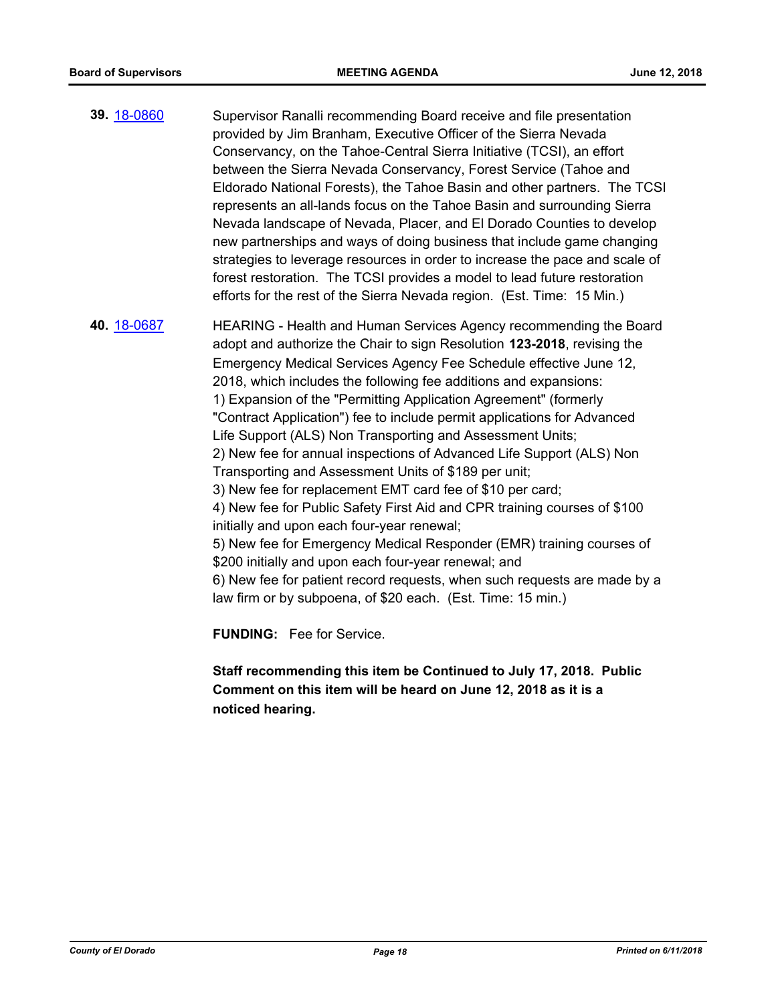**39.** [18-0860](http://eldorado.legistar.com/gateway.aspx?m=l&id=/matter.aspx?key=24207) Supervisor Ranalli recommending Board receive and file presentation provided by Jim Branham, Executive Officer of the Sierra Nevada Conservancy, on the Tahoe-Central Sierra Initiative (TCSI), an effort between the Sierra Nevada Conservancy, Forest Service (Tahoe and Eldorado National Forests), the Tahoe Basin and other partners. The TCSI represents an all-lands focus on the Tahoe Basin and surrounding Sierra Nevada landscape of Nevada, Placer, and El Dorado Counties to develop new partnerships and ways of doing business that include game changing strategies to leverage resources in order to increase the pace and scale of forest restoration. The TCSI provides a model to lead future restoration efforts for the rest of the Sierra Nevada region. (Est. Time: 15 Min.)

**40.** [18-0687](http://eldorado.legistar.com/gateway.aspx?m=l&id=/matter.aspx?key=24032) HEARING - Health and Human Services Agency recommending the Board adopt and authorize the Chair to sign Resolution **123-2018**, revising the Emergency Medical Services Agency Fee Schedule effective June 12, 2018, which includes the following fee additions and expansions: 1) Expansion of the "Permitting Application Agreement" (formerly "Contract Application") fee to include permit applications for Advanced Life Support (ALS) Non Transporting and Assessment Units; 2) New fee for annual inspections of Advanced Life Support (ALS) Non Transporting and Assessment Units of \$189 per unit; 3) New fee for replacement EMT card fee of \$10 per card; 4) New fee for Public Safety First Aid and CPR training courses of \$100 initially and upon each four-year renewal; 5) New fee for Emergency Medical Responder (EMR) training courses of \$200 initially and upon each four-year renewal; and 6) New fee for patient record requests, when such requests are made by a law firm or by subpoena, of \$20 each. (Est. Time: 15 min.)

**FUNDING:** Fee for Service.

**Staff recommending this item be Continued to July 17, 2018. Public Comment on this item will be heard on June 12, 2018 as it is a noticed hearing.**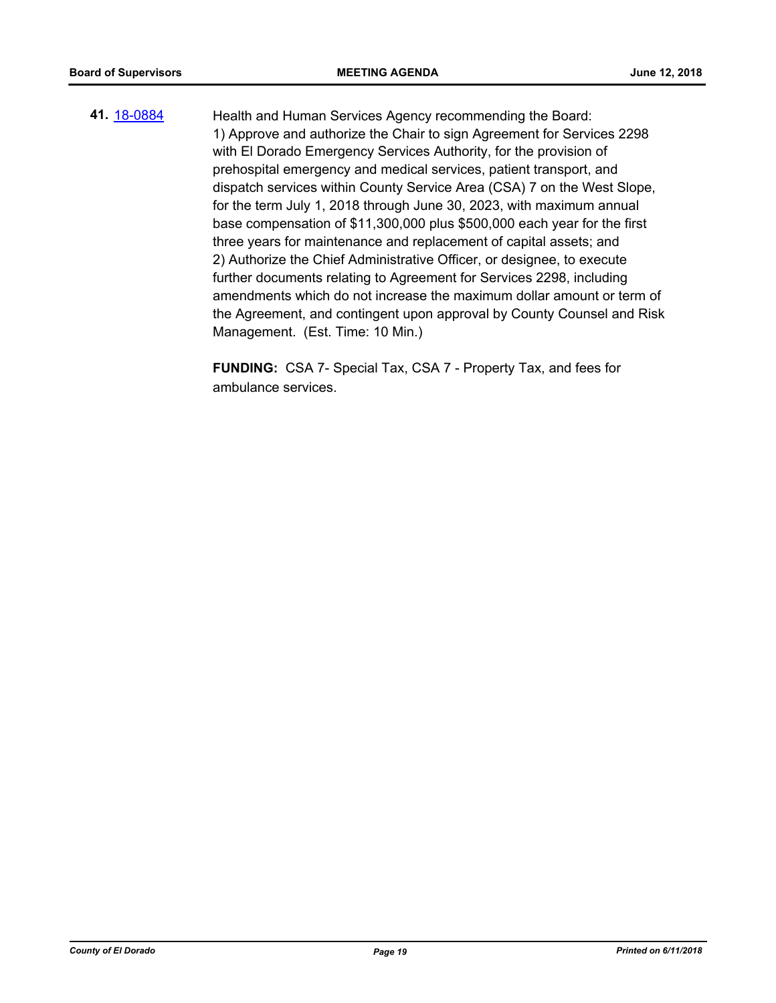**41.** [18-0884](http://eldorado.legistar.com/gateway.aspx?m=l&id=/matter.aspx?key=24231) Health and Human Services Agency recommending the Board: 1) Approve and authorize the Chair to sign Agreement for Services 2298 with El Dorado Emergency Services Authority, for the provision of prehospital emergency and medical services, patient transport, and dispatch services within County Service Area (CSA) 7 on the West Slope, for the term July 1, 2018 through June 30, 2023, with maximum annual base compensation of \$11,300,000 plus \$500,000 each year for the first three years for maintenance and replacement of capital assets; and 2) Authorize the Chief Administrative Officer, or designee, to execute further documents relating to Agreement for Services 2298, including amendments which do not increase the maximum dollar amount or term of the Agreement, and contingent upon approval by County Counsel and Risk Management. (Est. Time: 10 Min.)

> **FUNDING:** CSA 7- Special Tax, CSA 7 - Property Tax, and fees for ambulance services.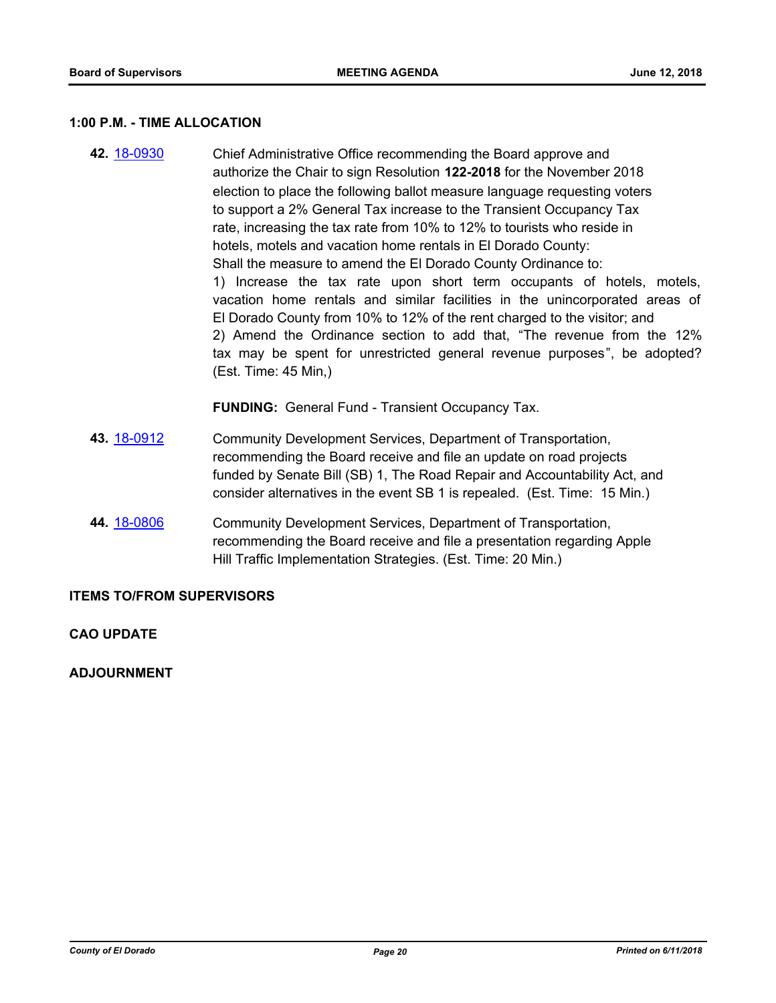#### **1:00 P.M. - TIME ALLOCATION**

**42.** [18-0930](http://eldorado.legistar.com/gateway.aspx?m=l&id=/matter.aspx?key=24278) Chief Administrative Office recommending the Board approve and authorize the Chair to sign Resolution **122-2018** for the November 2018 election to place the following ballot measure language requesting voters to support a 2% General Tax increase to the Transient Occupancy Tax rate, increasing the tax rate from 10% to 12% to tourists who reside in hotels, motels and vacation home rentals in El Dorado County: Shall the measure to amend the El Dorado County Ordinance to: 1) Increase the tax rate upon short term occupants of hotels, motels, vacation home rentals and similar facilities in the unincorporated areas of El Dorado County from 10% to 12% of the rent charged to the visitor; and 2) Amend the Ordinance section to add that, "The revenue from the 12% tax may be spent for unrestricted general revenue purposes", be adopted? (Est. Time: 45 Min,)

**FUNDING:** General Fund - Transient Occupancy Tax.

- **43.** [18-0912](http://eldorado.legistar.com/gateway.aspx?m=l&id=/matter.aspx?key=24260) Community Development Services, Department of Transportation, recommending the Board receive and file an update on road projects funded by Senate Bill (SB) 1, The Road Repair and Accountability Act, and consider alternatives in the event SB 1 is repealed. (Est. Time: 15 Min.)
- **44.** [18-0806](http://eldorado.legistar.com/gateway.aspx?m=l&id=/matter.aspx?key=24153) Community Development Services, Department of Transportation, recommending the Board receive and file a presentation regarding Apple Hill Traffic Implementation Strategies. (Est. Time: 20 Min.)

#### **ITEMS TO/FROM SUPERVISORS**

#### **CAO UPDATE**

**ADJOURNMENT**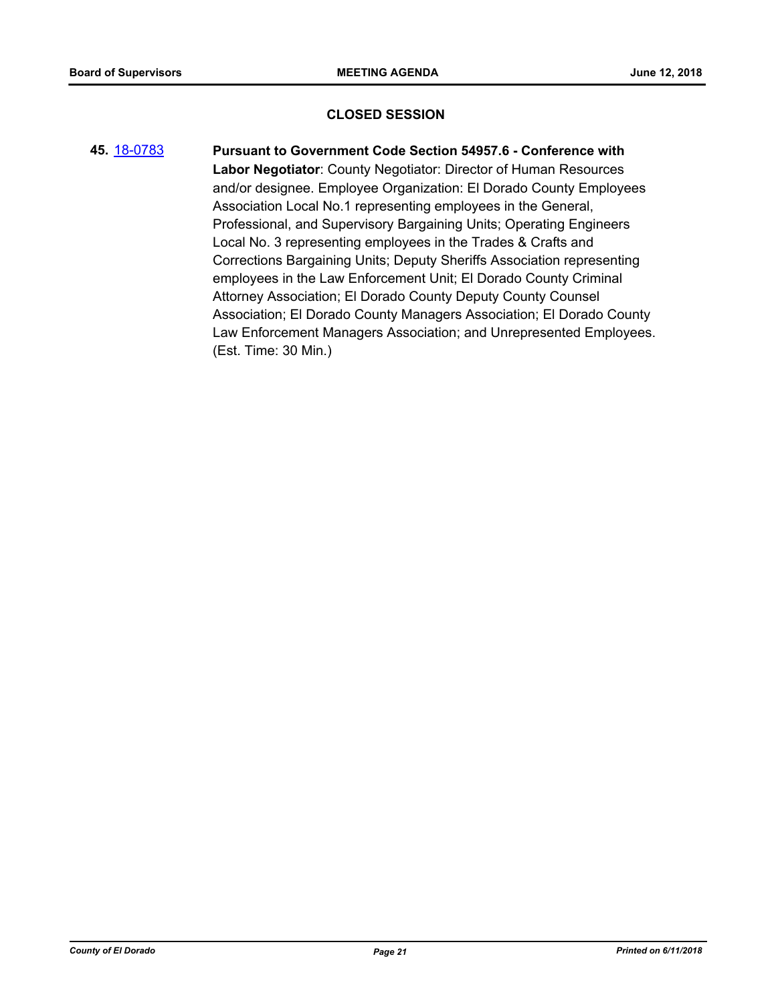#### **CLOSED SESSION**

**45.** [18-0783](http://eldorado.legistar.com/gateway.aspx?m=l&id=/matter.aspx?key=24130) **Pursuant to Government Code Section 54957.6 - Conference with Labor Negotiator**: County Negotiator: Director of Human Resources and/or designee. Employee Organization: El Dorado County Employees Association Local No.1 representing employees in the General, Professional, and Supervisory Bargaining Units; Operating Engineers Local No. 3 representing employees in the Trades & Crafts and Corrections Bargaining Units; Deputy Sheriffs Association representing employees in the Law Enforcement Unit; El Dorado County Criminal Attorney Association; El Dorado County Deputy County Counsel Association; El Dorado County Managers Association; El Dorado County Law Enforcement Managers Association; and Unrepresented Employees. (Est. Time: 30 Min.)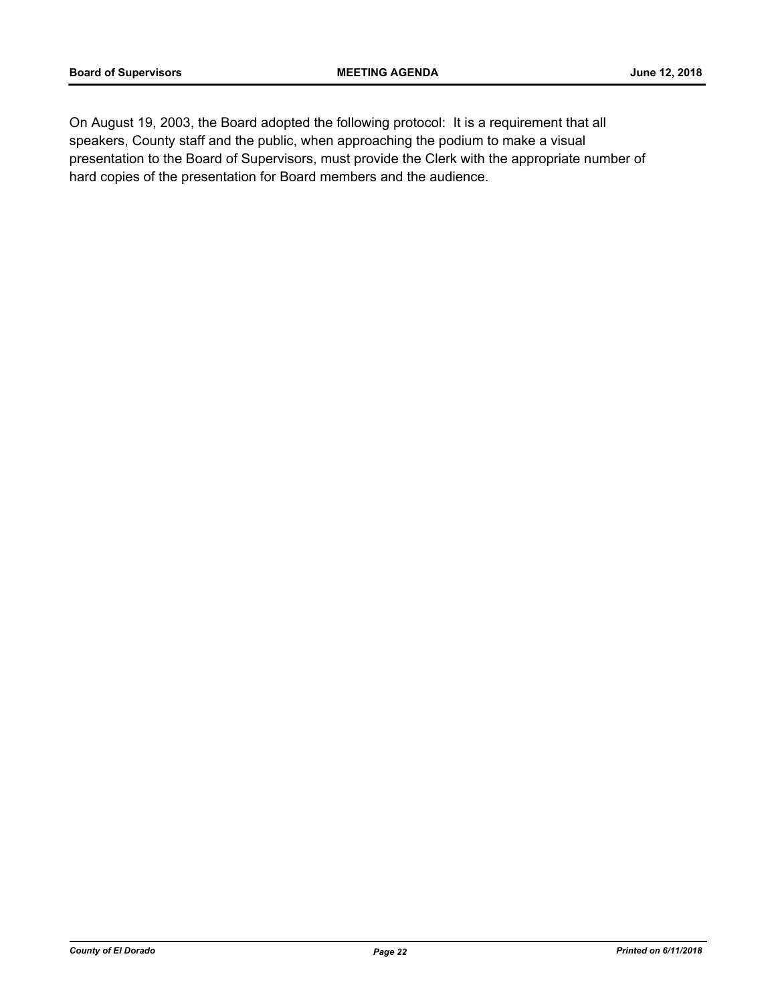On August 19, 2003, the Board adopted the following protocol: It is a requirement that all speakers, County staff and the public, when approaching the podium to make a visual presentation to the Board of Supervisors, must provide the Clerk with the appropriate number of hard copies of the presentation for Board members and the audience.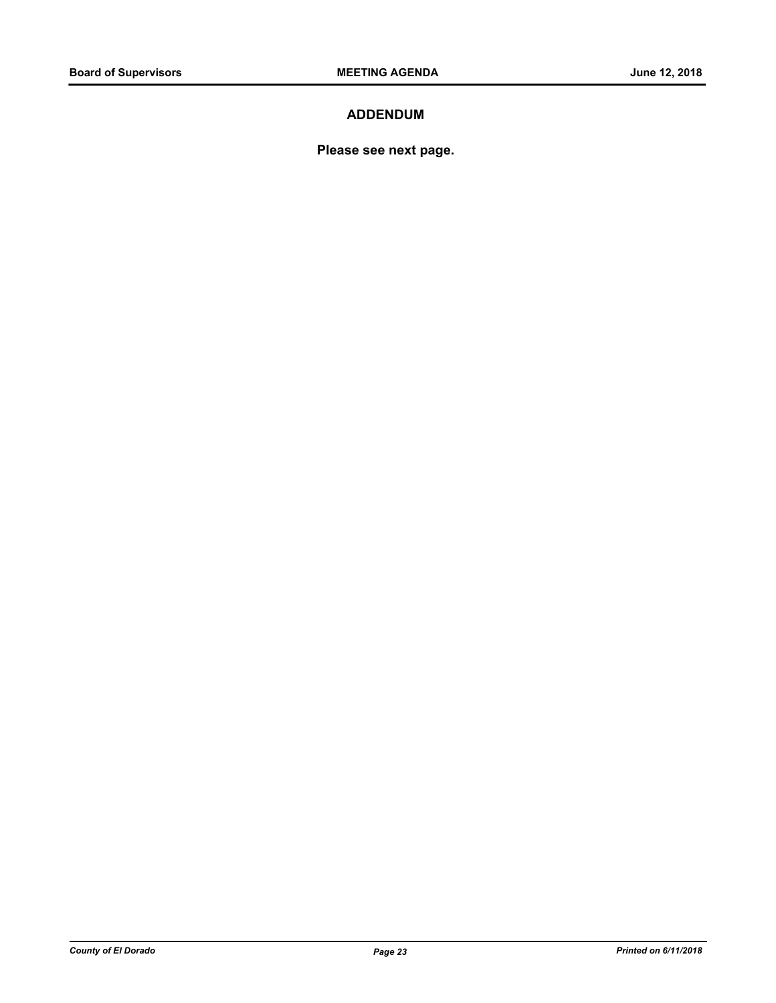### **ADDENDUM**

**Please see next page.**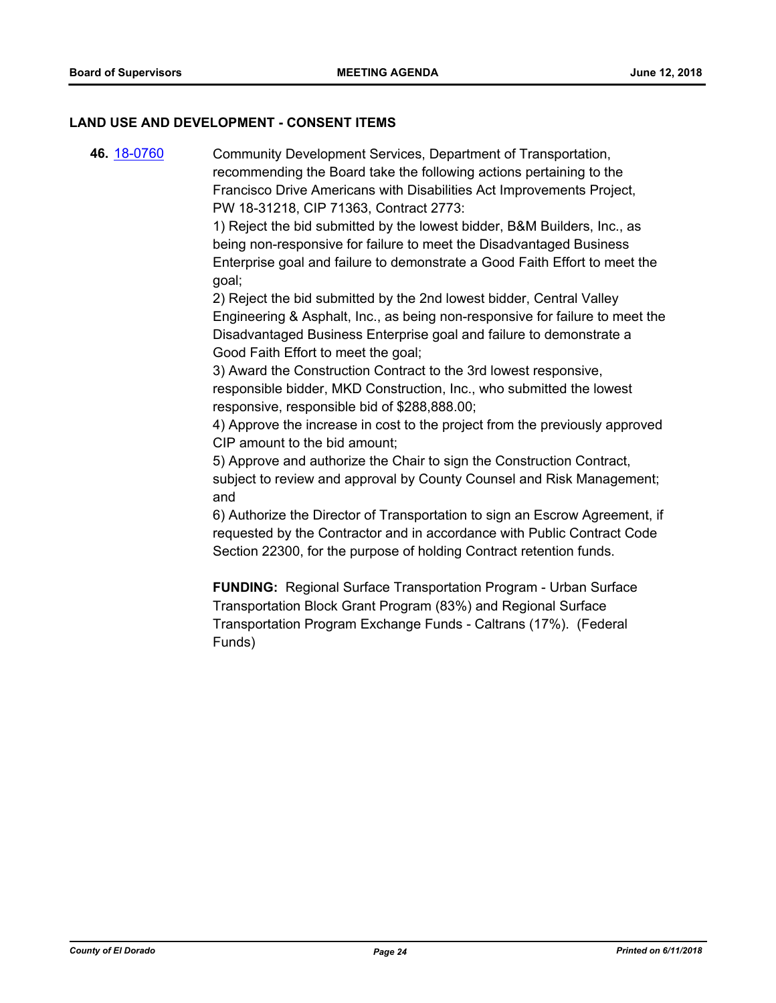#### **LAND USE AND DEVELOPMENT - CONSENT ITEMS**

**46.** [18-0760](http://eldorado.legistar.com/gateway.aspx?m=l&id=/matter.aspx?key=24107) Community Development Services, Department of Transportation, recommending the Board take the following actions pertaining to the Francisco Drive Americans with Disabilities Act Improvements Project, PW 18-31218, CIP 71363, Contract 2773:

> 1) Reject the bid submitted by the lowest bidder, B&M Builders, Inc., as being non-responsive for failure to meet the Disadvantaged Business Enterprise goal and failure to demonstrate a Good Faith Effort to meet the goal;

2) Reject the bid submitted by the 2nd lowest bidder, Central Valley Engineering & Asphalt, Inc., as being non-responsive for failure to meet the Disadvantaged Business Enterprise goal and failure to demonstrate a Good Faith Effort to meet the goal;

3) Award the Construction Contract to the 3rd lowest responsive, responsible bidder, MKD Construction, Inc., who submitted the lowest responsive, responsible bid of \$288,888.00;

4) Approve the increase in cost to the project from the previously approved CIP amount to the bid amount;

5) Approve and authorize the Chair to sign the Construction Contract, subject to review and approval by County Counsel and Risk Management; and

6) Authorize the Director of Transportation to sign an Escrow Agreement, if requested by the Contractor and in accordance with Public Contract Code Section 22300, for the purpose of holding Contract retention funds.

**FUNDING:** Regional Surface Transportation Program - Urban Surface Transportation Block Grant Program (83%) and Regional Surface Transportation Program Exchange Funds - Caltrans (17%). (Federal Funds)